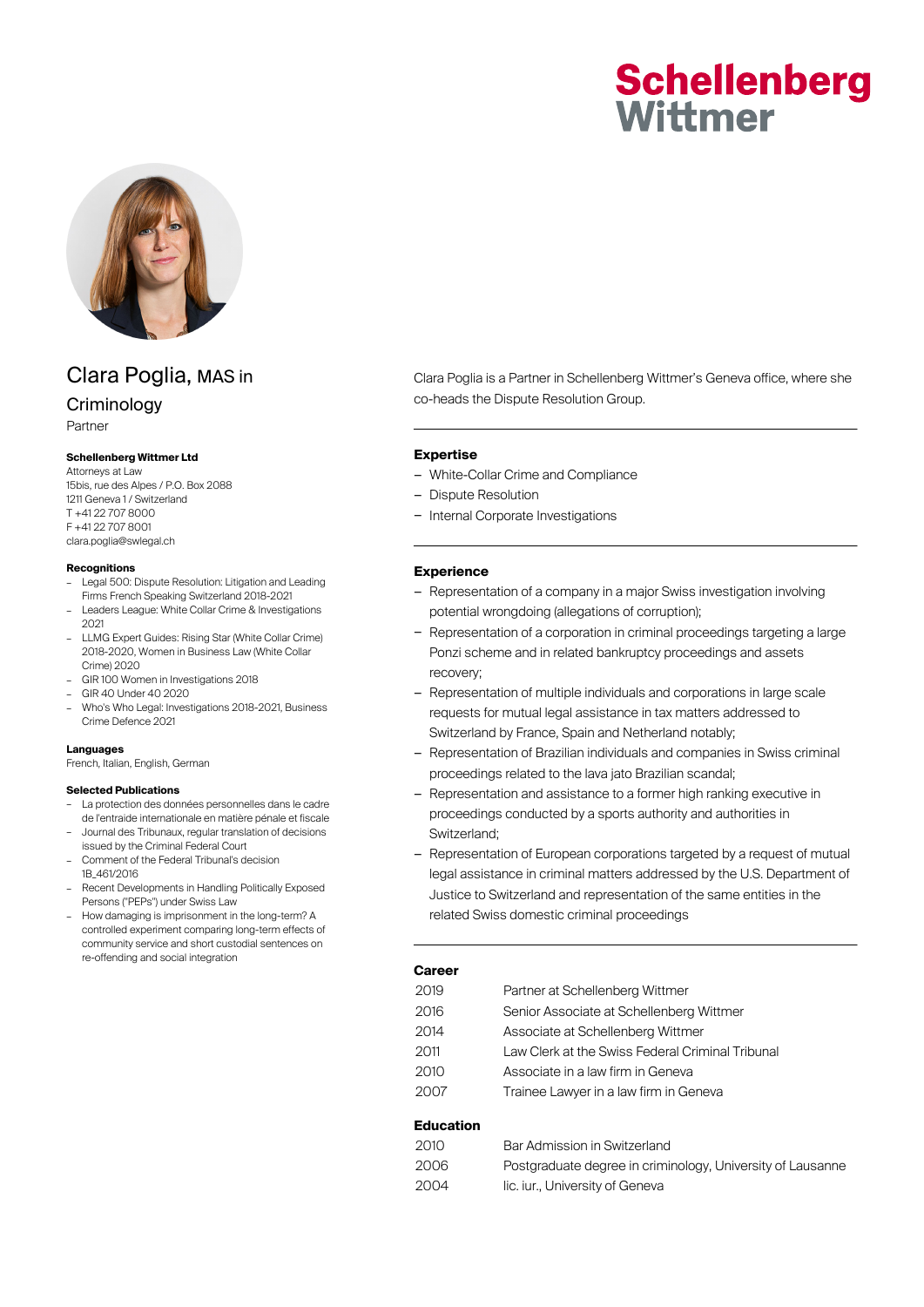# **Schellenberg** Wittmer



# Clara Poglia, MAS in

# **Criminology**

Partner

#### **Schellenberg Wittmer Ltd**

Attorneys at Law 15bis, rue des Alpes / P.O. Box 2088 1211 Geneva 1 / Switzerland T +41 22 707 8000 F +41 22 707 8001 clara.poglia@swlegal.ch

#### **Recognitions**

- Legal 500: Dispute Resolution: Litigation and Leading Firms French Speaking Switzerland 2018-2021
- Leaders League: White Collar Crime & Investigations 2021
- LLMG Expert Guides: Rising Star (White Collar Crime) 2018-2020, Women in Business Law (White Collar Crime) 2020
- GIR 100 Women in Investigations 2018
- GIR 40 Under 40 2020
- Who's Who Legal: Investigations 2018-2021, Business Crime Defence 2021

#### **Languages**

French, Italian, English, German

#### **Selected Publications**

- La protection des données personnelles dans le cadre de l'entraide internationale en matière pénale et fiscale – Journal des Tribunaux, regular translation of decisions
- issued by the Criminal Federal Court
- Comment of the Federal Tribunal's decision 1B\_461/2016
- Recent Developments in Handling Politically Exposed Persons ("PEPs") under Swiss Law
- How damaging is imprisonment in the long-term? A controlled experiment comparing long-term effects of community service and short custodial sentences on re-offending and social integration

Clara Poglia is a Partner in Schellenberg Wittmer's Geneva office, where she co-heads the Dispute Resolution Group.

#### **Expertise**

- White-Collar Crime and Compliance
- Dispute Resolution
- Internal Corporate Investigations

#### **Experience**

- Representation of a company in a major Swiss investigation involving potential wrongdoing (allegations of corruption);
- Representation of a corporation in criminal proceedings targeting a large Ponzi scheme and in related bankruptcy proceedings and assets recovery;
- Representation of multiple individuals and corporations in large scale requests for mutual legal assistance in tax matters addressed to Switzerland by France, Spain and Netherland notably;
- Representation of Brazilian individuals and companies in Swiss criminal proceedings related to the lava jato Brazilian scandal;
- Representation and assistance to a former high ranking executive in proceedings conducted by a sports authority and authorities in Switzerland;
- Representation of European corporations targeted by a request of mutual legal assistance in criminal matters addressed by the U.S. Department of Justice to Switzerland and representation of the same entities in the related Swiss domestic criminal proceedings

#### **Career**

| 2019 | Partner at Schellenberg Wittmer                  |
|------|--------------------------------------------------|
| 2016 | Senior Associate at Schellenberg Wittmer         |
| 2014 | Associate at Schellenberg Wittmer                |
| 2011 | Law Clerk at the Swiss Federal Criminal Tribunal |
| 2010 | Associate in a law firm in Geneva                |
| 2007 | Trainee Lawyer in a law firm in Geneva           |
|      |                                                  |

#### **Education**

| 2010. | Bar Admission in Switzerland                               |
|-------|------------------------------------------------------------|
| 2006  | Postgraduate degree in criminology, University of Lausanne |
| 2004  | lic. iur University of Geneva                              |